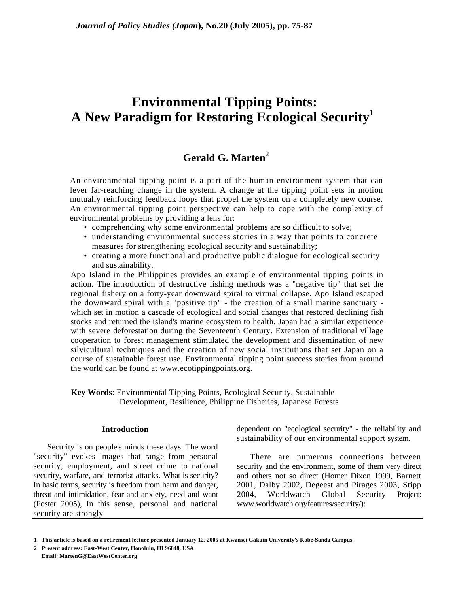# **Environmental Tipping Points: A New Paradigm for Restoring Ecological Security<sup>1</sup>**

# **Gerald G. Marten**<sup>2</sup>

An environmental tipping point is a part of the human-environment system that can lever far-reaching change in the system. A change at the tipping point sets in motion mutually reinforcing feedback loops that propel the system on a completely new course. An environmental tipping point perspective can help to cope with the complexity of environmental problems by providing a lens for:

- comprehending why some environmental problems are so difficult to solve;
- understanding environmental success stories in a way that points to concrete measures for strengthening ecological security and sustainability;
- creating a more functional and productive public dialogue for ecological security and sustainability.

Apo Island in the Philippines provides an example of environmental tipping points in action. The introduction of destructive fishing methods was a "negative tip" that set the regional fishery on a forty-year downward spiral to virtual collapse. Apo Island escaped the downward spiral with a "positive tip" - the creation of a small marine sanctuary which set in motion a cascade of ecological and social changes that restored declining fish stocks and returned the island's marine ecosystem to health. Japan had a similar experience with severe deforestation during the Seventeenth Century. Extension of traditional village cooperation to forest management stimulated the development and dissemination of new silvicultural techniques and the creation of new social institutions that set Japan on a course of sustainable forest use. Environmental tipping point success stories from around the world can be found at www.ecotippingpoints.org.

**Key Words**: Environmental Tipping Points, Ecological Security, Sustainable Development, Resilience, Philippine Fisheries, Japanese Forests

#### **Introduction**

Security is on people's minds these days. The word "security" evokes images that range from personal security, employment, and street crime to national security, warfare, and terrorist attacks. What is security? In basic terms, security is freedom from harm and danger, threat and intimidation, fear and anxiety, need and want (Foster 2005), In this sense, personal and national security are strongly

dependent on "ecological security" - the reliability and sustainability of our environmental support system.

There are numerous connections between security and the environment, some of them very direct and others not so direct (Homer Dixon 1999, Barnett 2001, Dalby 2002, Degeest and Pirages 2003, Stipp 2004, Worldwatch Global Security Project: www.worldwatch.org/features/security/):

**<sup>1</sup> This article is based on a retirement lecture presented January 12, 2005 at Kwansei Gakuin University's Kobe-Sanda Campus.** 

**<sup>2</sup> Present address: East-West Center, Honolulu, HI 96848, USA Email: MartenG@EastWestCenter.org**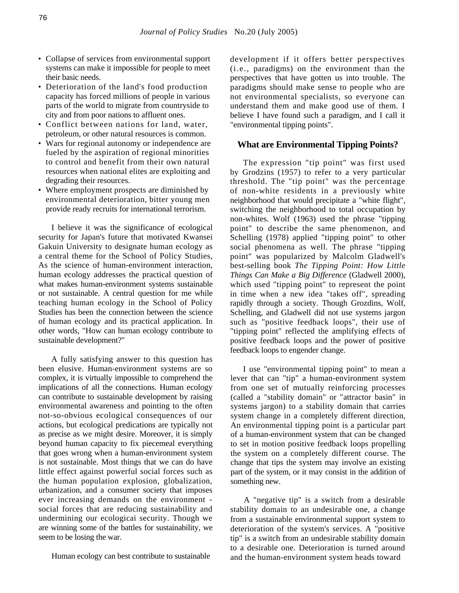- Collapse of services from environmental support systems can make it impossible for people to meet their basic needs.
- Deterioration of the land's food production capacity has forced millions of people in various parts of the world to migrate from countryside to city and from poor nations to affluent ones.
- Conflict between nations for land, water, petroleum, or other natural resources is common.
- Wars for regional autonomy or independence are fueled by the aspiration of regional minorities to control and benefit from their own natural resources when national elites are exploiting and degrading their resources.
- Where employment prospects are diminished by environmental deterioration, bitter young men provide ready recruits for international terrorism.

I believe it was the significance of ecological security for Japan's future that motivated Kwansei Gakuin University to designate human ecology as a central theme for the School of Policy Studies, As the science of human-environment interaction, human ecology addresses the practical question of what makes human-environment systems sustainable or not sustainable. A central question for me while teaching human ecology in the School of Policy Studies has been the connection between the science of human ecology and its practical application. In other words, "How can human ecology contribute to sustainable development?"

A fully satisfying answer to this question has been elusive. Human-environment systems are so complex, it is virtually impossible to comprehend the implications of all the connections. Human ecology can contribute to sustainable development by raising environmental awareness and pointing to the often not-so-obvious ecological consequences of our actions, but ecological predications are typically not as precise as we might desire. Moreover, it is simply beyond human capacity to fix piecemeal everything that goes wrong when a human-environment system is not sustainable. Most things that we can do have little effect against powerful social forces such as the human population explosion, globalization, urbanization, and a consumer society that imposes ever increasing demands on the environment social forces that are reducing sustainability and undermining our ecologicai security. Though we are winning some of the battles for sustainability, we seem to be losing the war.

Human ecology can best contribute to sustainable

development if it offers better perspectives (i.e., paradigms) on the environment than the perspectives that have gotten us into trouble. The paradigms should make sense to people who are not environmental specialists, so everyone can understand them and make good use of them. I believe I have found such a paradigm, and I call it "environmental tipping points".

## **What are Environmental Tipping Points?**

The expression "tip point" was first used by Grodzins (1957) to refer to a very particular threshold. The "tip point" was the percentage of non-white residents in a previously white neighborhood that would precipitate a "white flight", switching the neighborhood to total occupation by non-whites. Wolf (1963) used the phrase "tipping point" to describe the same phenomenon, and Schelling (1978) applied "tipping point" to other social phenomena as well. The phrase "tipping point" was popularized by Malcolm Gladwell's best-selling book *The Tipping Point: How Little Things Can Make a Big Difference* (Gladwell 2000), which used "tipping point" to represent the point in time when a new idea "takes off", spreading rapidly through a society. Though Grozdins, Wolf, Schelling, and Gladwell did not use systems jargon such as "positive feedback loops", their use of "tipping point" reflected the amplifying effects of positive feedback loops and the power of positive feedback loops to engender change.

I use "environmental tipping point" to mean a lever that can "tip" a human-environment system from one set of mutually reinforcing processes (called a "stability domain" or "attractor basin" in systems jargon) to a stability domain that carries system change in a completely different direction, An environmental tipping point is a particular part of a human-environment system that can be changed to set in motion positive feedback loops propelling the system on a completely different course. The change that tips the system may involve an existing part of the system, or it may consist in the addition of something new.

A "negative tip" is a switch from a desirable stability domain to an undesirable one, a change from a sustainable environmental support system to deterioration of the system's services. A "positive tip" is a switch from an undesirable stability domain to a desirable one. Deterioration is turned around and the human-environment system heads toward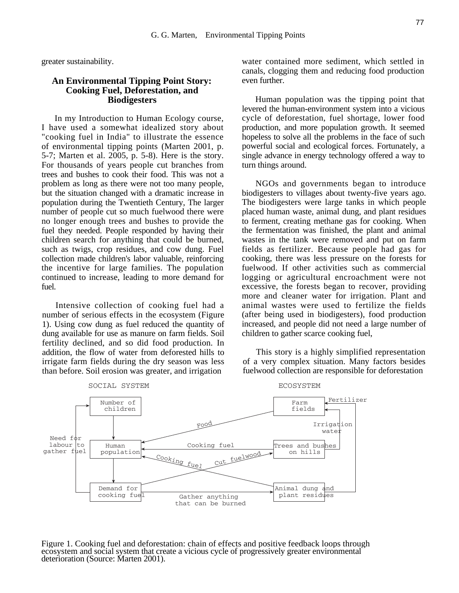greater sustainability.

## **An Environmental Tipping Point Story: Cooking Fuel, Deforestation, and Biodigesters**

In my Introduction to Human Ecology course, I have used a somewhat idealized story about "cooking fuel in India" to illustrate the essence of environmental tipping points (Marten 2001, p. 5-7; Marten et al. 2005, p. 5-8). Here is the story. For thousands of years people cut branches from trees and bushes to cook their food. This was not a problem as long as there were not too many people, but the situation changed with a dramatic increase in population during the Twentieth Century, The larger number of people cut so much fuelwood there were no longer enough trees and bushes to provide the fuel they needed. People responded by having their children search for anything that could be burned, such as twigs, crop residues, and cow dung. Fuel collection made children's labor valuable, reinforcing the incentive for large families. The population continued to increase, leading to more demand for fuel.

Intensive collection of cooking fuel had a number of serious effects in the ecosystem (Figure 1). Using cow dung as fuel reduced the quantity of dung available for use as manure on farm fields. Soil fertility declined, and so did food production. In addition, the flow of water from deforested hills to irrigate farm fields during the dry season was less than before. Soil erosion was greater, and irrigation

water contained more sediment, which settled in canals, clogging them and reducing food production even further.

Human population was the tipping point that levered the human-environment system into a vicious cycle of deforestation, fuel shortage, lower food production, and more population growth. It seemed hopeless to solve all the problems in the face of such powerful social and ecological forces. Fortunately, a single advance in energy technology offered a way to turn things around.

NGOs and governments began to introduce biodigesters to villages about twenty-five years ago. The biodigesters were large tanks in which people placed human waste, animal dung, and plant residues to ferment, creating methane gas for cooking. When the fermentation was finished, the plant and animal wastes in the tank were removed and put on farm fields as fertilizer. Because people had gas for cooking, there was less pressure on the forests for fuelwood. If other activities such as commercial logging or agricultural encroachment were not excessive, the forests began to recover, providing more and cleaner water for irrigation. Plant and animal wastes were used to fertilize the fields (after being used in biodigesters), food production increased, and people did not need a large number of children to gather scarce cooking fuel,

This story is a highly simplified representation of a very complex situation. Many factors besides fuelwood collection are responsible for deforestation



Figure 1. Cooking fuel and deforestation: chain of effects and positive feedback loops through<br>ecosystem and social system that create a vicious cycle of progressively greater environmental<br>deterioration (Source: Marten 20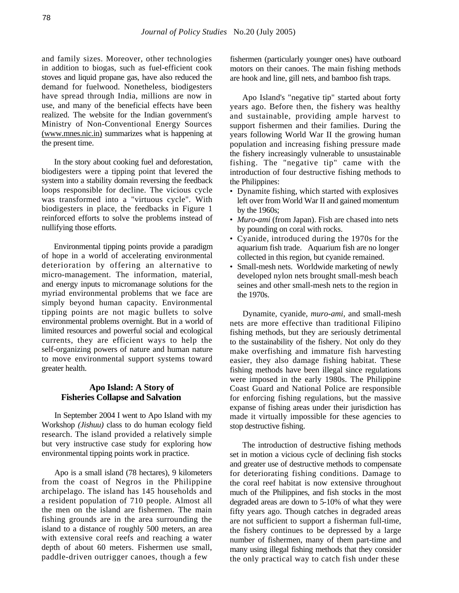and family sizes. Moreover, other technologies in addition to biogas, such as fuel-efficient cook stoves and liquid propane gas, have also reduced the demand for fuelwood. Nonetheless, biodigesters have spread through India, millions are now in use, and many of the beneficial effects have been realized. The website for the Indian government's Ministry of Non-Conventional Energy Sources (www.mnes.nic.in) summarizes what is happening at the present time.

In the story about cooking fuel and deforestation, biodigesters were a tipping point that levered the system into a stability domain reversing the feedback loops responsible for decline. The vicious cycle was transformed into a "virtuous cycle". With biodigesters in place, the feedbacks in Figure 1 reinforced efforts to solve the problems instead of nullifying those efforts.

Environmental tipping points provide a paradigm of hope in a world of accelerating environmental deterioration by offering an alternative to micro-management. The information, material, and energy inputs to micromanage solutions for the myriad environmental problems that we face are simply beyond human capacity. Environmental tipping points are not magic bullets to solve environmental problems overnight. But in a world of limited resources and powerful social and ecological currents, they are efficient ways to help the self-organizing powers of nature and human nature to move environmental support systems toward greater health.

# **Apo Island: A Story of Fisheries Collapse and Salvation**

In September 2004 I went to Apo Island with my Workshop *(Jishuu)* class to do human ecology field research. The island provided a relatively simple but very instructive case study for exploring how environmental tipping points work in practice.

Apo is a small island (78 hectares), 9 kilometers from the coast of Negros in the Philippine archipelago. The island has 145 households and a resident population of 710 people. Almost all the men on the island are fishermen. The main fishing grounds are in the area surrounding the island to a distance of roughly 500 meters, an area with extensive coral reefs and reaching a water depth of about 60 meters. Fishermen use small, paddle-driven outrigger canoes, though a few

fishermen (particularly younger ones) have outboard motors on their canoes. The main fishing methods are hook and line, gill nets, and bamboo fish traps.

Apo Island's "negative tip" started about forty years ago. Before then, the fishery was healthy and sustainable, providing ample harvest to support fishermen and their families. During the years following World War II the growing human population and increasing fishing pressure made the fishery increasingly vulnerable to unsustainable fishing. The "negative tip" came with the introduction of four destructive fishing methods to the Philippines:

- Dynamite fishing, which started with explosives left over from World War II and gained momentum by the 1960s;
- *Muro-ami* (from Japan). Fish are chased into nets by pounding on coral with rocks.
- Cyanide, introduced during the 1970s for the aquarium fish trade. Aquarium fish are no longer collected in this region, but cyanide remained.
- Small-mesh nets. Worldwide marketing of newly developed nylon nets brought small-mesh beach seines and other small-mesh nets to the region in the 1970s.

Dynamite, cyanide, *muro-ami,* and small-mesh nets are more effective than traditional Filipino fishing methods, but they are seriously detrimental to the sustainability of the fishery. Not only do they make overfishing and immature fish harvesting easier, they also damage fishing habitat. These fishing methods have been illegal since regulations were imposed in the early 1980s. The Philippine Coast Guard and National Police are responsible for enforcing fishing regulations, but the massive expanse of fishing areas under their jurisdiction has made it virtually impossible for these agencies to stop destructive fishing.

The introduction of destructive fishing methods set in motion a vicious cycle of declining fish stocks and greater use of destructive methods to compensate for deteriorating fishing conditions. Damage to the coral reef habitat is now extensive throughout much of the Philippines, and fish stocks in the most degraded areas are down to 5-10% of what they were fifty years ago. Though catches in degraded areas are not sufficient to support a fisherman full-time, the fishery continues to be depressed by a large number of fishermen, many of them part-time and many using illegal fishing methods that they consider the only practical way to catch fish under these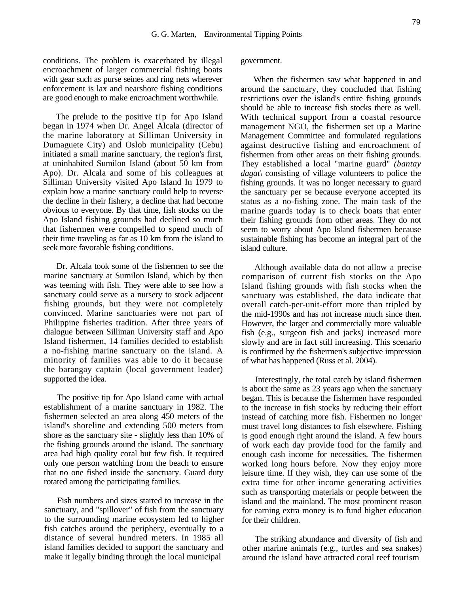conditions. The problem is exacerbated by illegal encroachment of larger commercial fishing boats with gear such as purse seines and ring nets wherever enforcement is lax and nearshore fishing conditions are good enough to make encroachment worthwhile.

The prelude to the positive tip for Apo Island began in 1974 when Dr. Angel Alcala (director of the marine laboratory at Silliman University in Dumaguete City) and Oslob municipality (Cebu) initiated a small marine sanctuary, the region's first, at uninhabited Sumilon Island (about 50 km from Apo). Dr. Alcala and some of his colleagues at Silliman University visited Apo Island In 1979 to explain how a marine sanctuary could help to reverse the decline in their fishery, a decline that had become obvious to everyone. By that time, fish stocks on the Apo Island fishing grounds had declined so much that fishermen were compelled to spend much of their time traveling as far as 10 km from the island to seek more favorable fishing conditions.

Dr. Alcala took some of the fishermen to see the marine sanctuary at Sumilon Island, which by then was teeming with fish. They were able to see how a sanctuary could serve as a nursery to stock adjacent fishing grounds, but they were not completely convinced. Marine sanctuaries were not part of Philippine fisheries tradition. After three years of dialogue between Silliman University staff and Apo Island fishermen, 14 families decided to establish a no-fishing marine sanctuary on the island. A minority of families was able to do it because the barangay captain (local government leader) supported the idea.

The positive tip for Apo Island came with actual establishment of a marine sanctuary in 1982. The fishermen selected an area along 450 meters of the island's shoreline and extending 500 meters from shore as the sanctuary site - slightly less than 10% of the fishing grounds around the island. The sanctuary area had high quality coral but few fish. It required only one person watching from the beach to ensure that no one fished inside the sanctuary. Guard duty rotated among the participating families.

Fish numbers and sizes started to increase in the sanctuary, and "spillover" of fish from the sanctuary to the surrounding marine ecosystem led to higher fish catches around the periphery, eventually to a distance of several hundred meters. In 1985 all island families decided to support the sanctuary and make it legally binding through the local municipal

government.

When the fishermen saw what happened in and around the sanctuary, they concluded that fishing restrictions over the island's entire fishing grounds should be able to increase fish stocks there as well. With technical support from a coastal resource management NGO, the fishermen set up a Marine Management Committee and formulated regulations against destructive fishing and encroachment of fishermen from other areas on their fishing grounds. They established a local "marine guard" *(bantay dagat\* consisting of village volunteers to police the fishing grounds. It was no longer necessary to guard the sanctuary per se because everyone accepted its status as a no-fishing zone. The main task of the marine guards today is to check boats that enter their fishing grounds from other areas. They do not seem to worry about Apo Island fishermen because sustainable fishing has become an integral part of the island culture.

Although available data do not allow a precise comparison of current fish stocks on the Apo Island fishing grounds with fish stocks when the sanctuary was established, the data indicate that overall catch-per-unit-effort more than tripled by the mid-1990s and has not increase much since then. However, the larger and commercially more valuable fish (e.g., surgeon fish and jacks) increased more slowly and are in fact still increasing. This scenario is confirmed by the fishermen's subjective impression of what has happened (Russ et al. 2004).

Interestingly, the total catch by island fishermen is about the same as 23 years ago when the sanctuary began. This is because the fishermen have responded to the increase in fish stocks by reducing their effort instead of catching more fish. Fishermen no longer must travel long distances to fish elsewhere. Fishing is good enough right around the island. A few hours of work each day provide food for the family and enough cash income for necessities. The fishermen worked long hours before. Now they enjoy more leisure time. If they wish, they can use some of the extra time for other income generating activities such as transporting materials or people between the island and the mainland. The most prominent reason for earning extra money is to fund higher education for their children.

The striking abundance and diversity of fish and other marine animals (e.g., turtles and sea snakes) around the island have attracted coral reef tourism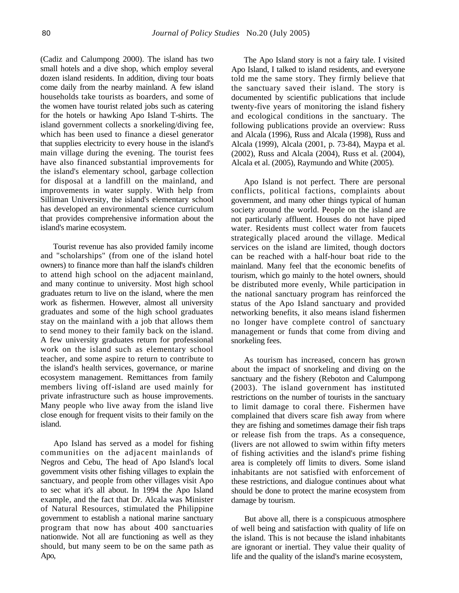(Cadiz and Calumpong 2000). The island has two small hotels and a dive shop, which employ several dozen island residents. In addition, diving tour boats come daily from the nearby mainland. A few island households take tourists as boarders, and some of the women have tourist related jobs such as catering for the hotels or hawking Apo Island T-shirts. The island government collects a snorkeling/diving fee, which has been used to finance a diesel generator that supplies electricity to every house in the island's main village during the evening. The tourist fees have also financed substantial improvements for the island's elementary school, garbage collection for disposal at a landfill on the mainland, and improvements in water supply. With help from Silliman University, the island's elementary school has developed an environmental science curriculum that provides comprehensive information about the island's marine ecosystem.

Tourist revenue has also provided family income and "scholarships" (from one of the island hotel owners) to finance more than half the island's children to attend high school on the adjacent mainland, and many continue to university. Most high school graduates return to live on the island, where the men work as fishermen. However, almost all university graduates and some of the high school graduates stay on the mainland with a job that allows them to send money to their family back on the island. A few university graduates return for professional work on the island such as elementary school teacher, and some aspire to return to contribute to the island's health services, governance, or marine ecosystem management. Remittances from family members living off-island are used mainly for private infrastructure such as house improvements. Many people who live away from the island live close enough for frequent visits to their family on the island.

Apo Island has served as a model for fishing communities on the adjacent mainlands of Negros and Cebu, The head of Apo Island's local government visits other fishing villages to explain the sanctuary, and people from other villages visit Apo to sec what it's all about. In 1994 the Apo Island example, and the fact that Dr. Alcala was Minister of Natural Resources, stimulated the Philippine government to establish a national marine sanctuary program that now has about 400 sanctuaries nationwide. Not all are functioning as well as they should, but many seem to be on the same path as Apo,

The Apo Island story is not a fairy tale. I visited Apo Island, I talked to island residents, and everyone told me the same story. They firmly believe that the sanctuary saved their island. The story is documented by scientific publications that include twenty-five years of monitoring the island fishery and ecological conditions in the sanctuary. The following publications provide an overview: Russ and Alcala (1996), Russ and Alcala (1998), Russ and Alcala (1999), Alcala (2001, p. 73-84), Maypa et al. (2002), Russ and Alcala (2004), Russ et al. (2004), Alcala et al. (2005), Raymundo and White (2005).

Apo Island is not perfect. There are personal conflicts, political factions, complaints about government, and many other things typical of human society around the world. People on the island are not particularly affluent. Houses do not have piped water. Residents must collect water from faucets strategically placed around the village. Medical services on the island are limited, though doctors can be reached with a half-hour boat ride to the mainland. Many feel that the economic benefits of tourism, which go mainly to the hotel owners, should be distributed more evenly, While participation in the national sanctuary program has reinforced the status of the Apo Island sanctuary and provided networking benefits, it also means island fishermen no longer have complete control of sanctuary management or funds that come from diving and snorkeling fees.

As tourism has increased, concern has grown about the impact of snorkeling and diving on the sanctuary and the fishery (Reboton and Calumpong (2003). The island government has instituted restrictions on the number of tourists in the sanctuary to limit damage to coral there. Fishermen have complained that divers scare fish away from where they are fishing and sometimes damage their fish traps or release fish from the traps. As a consequence, (livers are not allowed to swim within fifty meters of fishing activities and the island's prime fishing area is completely off limits to divers. Some island inhabitants are not satisfied with enforcement of these restrictions, and dialogue continues about what should be done to protect the marine ecosystem from damage by tourism.

But above all, there is a conspicuous atmosphere of well being and satisfaction with quality of life on the island. This is not because the island inhabitants are ignorant or inertial. They value their quality of life and the quality of the island's marine ecosystem,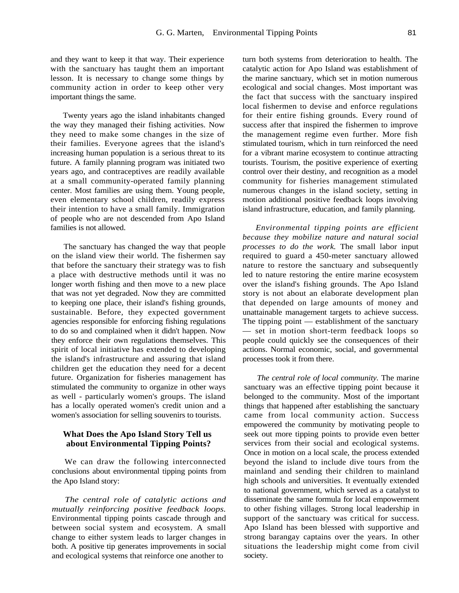and they want to keep it that way. Their experience with the sanctuary has taught them an important lesson. It is necessary to change some things by community action in order to keep other very important things the same.

Twenty years ago the island inhabitants changed the way they managed their fishing activities. Now they need to make some changes in the size of their families. Everyone agrees that the island's increasing human population is a serious threat to its future. A family planning program was initiated two years ago, and contraceptives are readily available at a small community-operated family planning center. Most families are using them. Young people, even elementary school children, readily express their intention to have a small family. Immigration of people who are not descended from Apo Island families is not allowed.

The sanctuary has changed the way that people on the island view their world. The fishermen say that before the sanctuary their strategy was to fish a place with destructive methods until it was no longer worth fishing and then move to a new place that was not yet degraded. Now they are committed to keeping one place, their island's fishing grounds, sustainable. Before, they expected government agencies responsible for enforcing fishing regulations to do so and complained when it didn't happen. Now they enforce their own regulations themselves. This spirit of local initiative has extended to developing the island's infrastructure and assuring that island children get the education they need for a decent future. Organization for fisheries management has stimulated the community to organize in other ways as well - particularly women's groups. The island has a locally operated women's credit union and a women's association for selling souvenirs to tourists.

#### **What Does the Apo Island Story Tell us about Environmental Tipping Points?**

We can draw the following interconnected conclusions about environmental tipping points from the Apo Island story:

*The central role of catalytic actions and mutually reinforcing positive feedback loops.*  Environmental tipping points cascade through and between social system and ecosystem. A small change to either system leads to larger changes in both. A positive tip generates improvements in social and ecological systems that reinforce one another to

turn both systems from deterioration to health. The catalytic action for Apo Island was establishment of the marine sanctuary, which set in motion numerous ecological and social changes. Most important was the fact that success with the sanctuary inspired local fishermen to devise and enforce regulations for their entire fishing grounds. Every round of success after that inspired the fishermen to improve the management regime even further. More fish stimulated tourism, which in turn reinforced the need for a vibrant marine ecosystem to continue attracting tourists. Tourism, the positive experience of exerting control over their destiny, and recognition as a model community for fisheries management stimulated numerous changes in the island society, setting in motion additional positive feedback loops involving island infrastructure, education, and family planning.

*Environmental tipping points are efficient because they mobilize nature and natural social processes to do the work.* The small labor input required to guard a 450-meter sanctuary allowed nature to restore the sanctuary and subsequently led to nature restoring the entire marine ecosystem over the island's fishing grounds. The Apo Island story is not about an elaborate development plan that depended on large amounts of money and unattainable management targets to achieve success. The tipping point — establishment of the sanctuary — set in motion short-term feedback loops so people could quickly see the consequences of their actions. Normal economic, social, and governmental processes took it from there.

*The central role of local community.* The marine sanctuary was an effective tipping point because it belonged to the community. Most of the important things that happened after establishing the sanctuary came from local community action. Success empowered the community by motivating people to seek out more tipping points to provide even better services from their social and ecological systems. Once in motion on a local scale, the process extended beyond the island to include dive tours from the mainland and sending their children to mainland high schools and universities. It eventually extended to national government, which served as a catalyst to disseminate the same formula for local empowerment to other fishing villages. Strong local leadership in support of the sanctuary was critical for success. Apo Island has been blessed with supportive and strong barangay captains over the years. In other situations the leadership might come from civil society.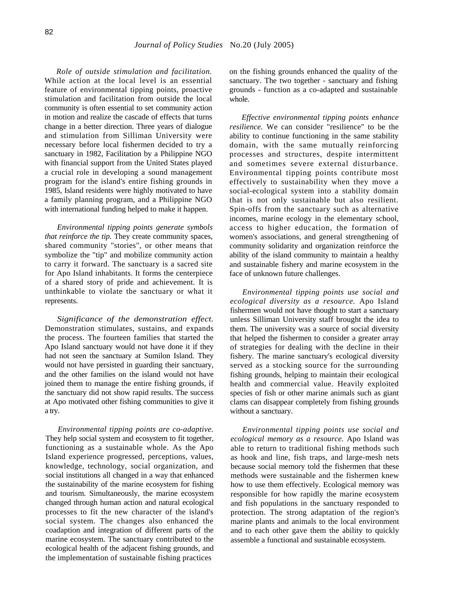*Role of outside stimulation and facilitation.*  While action at the local level is an essential feature of environmental tipping points, proactive stimulation and facilitation from outside the local community is often essential to set community action in motion and realize the cascade of effects that turns change in a better direction. Three years of dialogue and stimulation from Silliman University were necessary before local fishermen decided to try a sanctuary in 1982, Facilitation by a Philippine NGO with financial support from the United States played a crucial role in developing a sound management program for the island's entire fishing grounds in 1985, Island residents were highly motivated to have a family planning program, and a Philippine NGO with international funding helped to make it happen.

*Environmental tipping points generate symbols that reinforce the tip.* They create community spaces, shared community "stories", or other means that symbolize the "tip" and mobilize community action to carry it forward. The sanctuary is a sacred site for Apo Island inhabitants. It forms the centerpiece of a shared story of pride and achievement. It is unthinkable to violate the sanctuary or what it represents.

*Significance of the demonstration effect.*  Demonstration stimulates, sustains, and expands the process. The fourteen families that started the Apo Island sanctuary would not have done it if they had not seen the sanctuary at Sumilon Island. They would not have persisted in guarding their sanctuary, and the other families on the island would not have joined them to manage the entire fishing grounds, if the sanctuary did not show rapid results. The success at Apo motivated other fishing communities to give it a try.

*Environmental tipping points are co-adaptive.*  They help social system and ecosystem to fit together, functioning as a sustainable whole. As the Apo Island experience progressed, perceptions, values, knowledge, technology, social organization, and social institutions all changed in a way that enhanced the sustainability of the marine ecosystem for fishing and tourism. Simultaneously, the marine ecosystem changed through human action and natural ecological processes to fit the new character of the island's social system. The changes also enhanced the coadaption and integration of different parts of the marine ecosystem. The sanctuary contributed to the ecological health of the adjacent fishing grounds, and the implementation of sustainable fishing practices

on the fishing grounds enhanced the quality of the sanctuary. The two together - sanctuary and fishing grounds - function as a co-adapted and sustainable whole.

*Effective environmental tipping points enhance resilience.* We can consider "resilience" to be the ability to continue functioning in the same stability domain, with the same mutually reinforcing processes and structures, despite intermittent and sometimes severe external disturbance. Environmental tipping points contribute most effectively to sustainability when they move a social-ecological system into a stability domain that is not only sustainable but also resilient. Spin-offs from the sanctuary such as alternative incomes, marine ecology in the elementary school, access to higher education, the formation of women's associations, and general strengthening of community solidarity and organization reinforce the ability of the island community to maintain a healthy and sustainable fishery and marine ecosystem in the face of unknown future challenges.

*Environmental tipping points use social and ecological diversity as a resource.* Apo Island fishermen would not have thought to start a sanctuary unless Silliman University staff brought the idea to them. The university was a source of social diversity that helped the fishermen to consider a greater array of strategies for dealing with the decline in their fishery. The marine sanctuary's ecological diversity served as a stocking source for the surrounding fishing grounds, helping to maintain their ecological health and commercial value. Heavily exploited species of fish or other marine animals such as giant clams can disappear completely from fishing grounds without a sanctuary.

*Environmental tipping points use social and ecological memory as a resource.* Apo Island was able to return to traditional fishing methods such as hook and line, fish traps, and large-mesh nets because social memory told the fishermen that these methods were sustainable and the fishermen knew how to use them effectively. Ecological memory was responsible for how rapidly the marine ecosystem and fish populations in the sanctuary responded to protection. The strong adaptation of the region's marine plants and animals to the local environment and to each other gave them the ability to quickly assemble a functional and sustainable ecosystem.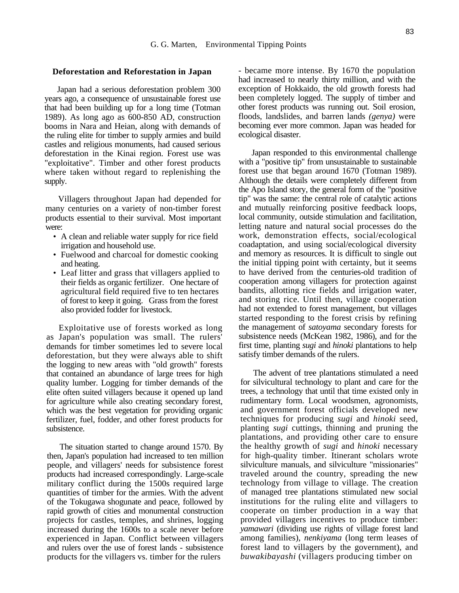#### **Deforestation and Reforestation in Japan**

Japan had a serious deforestation problem 300 years ago, a consequence of unsustainable forest use that had been building up for a long time (Totman 1989). As long ago as 600-850 AD, construction booms in Nara and Heian, along with demands of the ruling elite for timber to supply armies and build castles and religious monuments, had caused serious deforestation in the Kinai region. Forest use was "exploitative". Timber and other forest products where taken without regard to replenishing the supply.

Villagers throughout Japan had depended for many centuries on a variety of non-timber forest products essential to their survival. Most important were:

- A clean and reliable water supply for rice field irrigation and household use.
- Fuelwood and charcoal for domestic cooking and heating.
- Leaf litter and grass that villagers applied to their fields as organic fertilizer. One hectare of agricultural field required five to ten hectares of forest to keep it going. Grass from the forest also provided fodder for livestock.

Exploitative use of forests worked as long as Japan's population was small. The rulers' demands for timber sometimes led to severe local deforestation, but they were always able to shift the logging to new areas with "old growth" forests that contained an abundance of large trees for high quality lumber. Logging for timber demands of the elite often suited villagers because it opened up land for agriculture while also creating secondary forest, which was the best vegetation for providing organic fertilizer, fuel, fodder, and other forest products for subsistence.

The situation started to change around 1570. By then, Japan's population had increased to ten million people, and villagers' needs for subsistence forest products had increased correspondingly. Large-scale military conflict during the 1500s required large quantities of timber for the armies. With the advent of the Tokugawa shogunate and peace, followed by rapid growth of cities and monumental construction projects for castles, temples, and shrines, logging increased during the 1600s to a scale never before experienced in Japan. Conflict between villagers and rulers over the use of forest lands - subsistence products for the villagers vs. timber for the rulers

- became more intense. By 1670 the population had increased to nearly thirty million, and with the exception of Hokkaido, the old growth forests had been completely logged. The supply of timber and other forest products was running out. Soil erosion, floods, landslides, and barren lands *(genya)* were becoming ever more common. Japan was headed for ecological disaster.

Japan responded to this environmental challenge with a "positive tip" from unsustainable to sustainable forest use that began around 1670 (Totman 1989). Although the details were completely different from the Apo Island story, the general form of the "positive tip" was the same: the central role of catalytic actions and mutually reinforcing positive feedback loops, local community, outside stimulation and facilitation, letting nature and natural social processes do the work, demonstration effects, social/ecological coadaptation, and using social/ecological diversity and memory as resources. It is difficult to single out the initial tipping point with certainty, but it seems to have derived from the centuries-old tradition of cooperation among villagers for protection against bandits, allotting rice fields and irrigation water, and storing rice. Until then, village cooperation had not extended to forest management, but villages started responding to the forest crisis by refining the management of *satoyama* secondary forests for subsistence needs (McKean 1982, 1986), and for the first time, planting *sugi* and *hinoki* plantations to help satisfy timber demands of the rulers.

The advent of tree plantations stimulated a need for silvicultural technology to plant and care for the trees, a technology that until that time existed only in rudimentary form. Local woodsmen, agronomists, and government forest officials developed new techniques for producing *sugi* and *hinoki* seed, planting *sugi* cuttings, thinning and pruning the plantations, and providing other care to ensure the healthy growth of *sugi* and *hinoki* necessary for high-quality timber. Itinerant scholars wrote silviculture manuals, and silviculture "missionaries" traveled around the country, spreading the new technology from village to village. The creation of managed tree plantations stimulated new social institutions for the ruling elite and villagers to cooperate on timber production in a way that provided villagers incentives to produce timber: *yamawari* (dividing use rights of village forest land among families), *nenkiyama* (long term leases of forest land to villagers by the government), and *buwakibayashi* (villagers producing timber on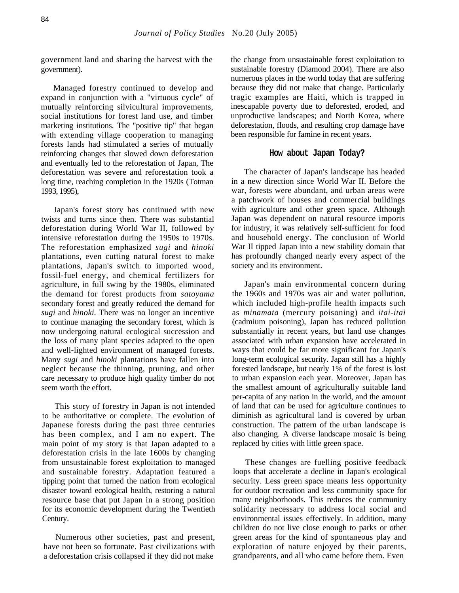government land and sharing the harvest with the government).

Managed forestry continued to develop and expand in conjunction with a "virtuous cycle" of mutually reinforcing silvicultural improvements, social institutions for forest land use, and timber marketing institutions. The "positive tip" that began with extending village cooperation to managing forests lands had stimulated a series of mutually reinforcing changes that slowed down deforestation and eventually led to the reforestation of Japan, The deforestation was severe and reforestation took a long time, reaching completion in the 1920s (Totman 1993, 1995),

Japan's forest story has continued with new twists and turns since then. There was substantial deforestation during World War II, followed by intensive reforestation during the 1950s to 1970s. The reforestation emphasized *sugi* and *hinoki*  plantations, even cutting natural forest to make plantations, Japan's switch to imported wood, fossil-fuel energy, and chemical fertilizers for agriculture, in full swing by the 1980s, eliminated the demand for forest products from *satoyama*  secondary forest and greatly reduced the demand for *sugi* and *hinoki.* There was no longer an incentive to continue managing the secondary forest, which is now undergoing natural ecological succession and the loss of many plant species adapted to the open and well-lighted environment of managed forests. Many *sugi* and *hinoki* plantations have fallen into neglect because the thinning, pruning, and other care necessary to produce high quality timber do not seem worth the effort.

This story of forestry in Japan is not intended to be authoritative or complete. The evolution of Japanese forests during the past three centuries has been complex, and I am no expert. The main point of my story is that Japan adapted to a deforestation crisis in the late 1600s by changing from unsustainable forest exploitation to managed and sustainable forestry. Adaptation featured a tipping point that turned the nation from ecological disaster toward ecological health, restoring a natural resource base that put Japan in a strong position for its economic development during the Twentieth Century.

Numerous other societies, past and present, have not been so fortunate. Past civilizations with a deforestation crisis collapsed if they did not make

the change from unsustainable forest exploitation to sustainable forestry (Diamond 2004). There are also numerous places in the world today that are suffering because they did not make that change. Particularly tragic examples are Haiti, which is trapped in inescapable poverty due to deforested, eroded, and unproductive landscapes; and North Korea, where deforestation, floods, and resulting crop damage have been responsible for famine in recent years.

## **How about Japan Today?**

The character of Japan's landscape has headed in a new direction since World War II. Before the war, forests were abundant, and urban areas were a patchwork of houses and commercial buildings with agriculture and other green space. Although Japan was dependent on natural resource imports for industry, it was relatively self-sufficient for food and household energy. The conclusion of World War II tipped Japan into a new stability domain that has profoundly changed nearly every aspect of the society and its environment.

Japan's main environmental concern during the 1960s and 1970s was air and water pollution, which included high-profile health impacts such as *minamata* (mercury poisoning) and *itai-itai*  (cadmium poisoning), Japan has reduced pollution substantially in recent years, but land use changes associated with urban expansion have accelerated in ways that could be far more significant for Japan's long-term ecological security. Japan still has a highly forested landscape, but nearly 1% of the forest is lost to urban expansion each year. Moreover, Japan has the smallest amount of agriculturally suitable land per-capita of any nation in the world, and the amount of land that can be used for agriculture continues to diminish as agricultural land is covered by urban construction. The pattern of the urban landscape is also changing. A diverse landscape mosaic is being replaced by cities with little green space.

These changes are fuelling positive feedback loops that accelerate a decline in Japan's ecological security. Less green space means less opportunity for outdoor recreation and less community space for many neighborhoods. This reduces the community solidarity necessary to address local social and environmental issues effectively. In addition, many children do not live close enough to parks or other green areas for the kind of spontaneous play and exploration of nature enjoyed by their parents, grandparents, and all who came before them. Even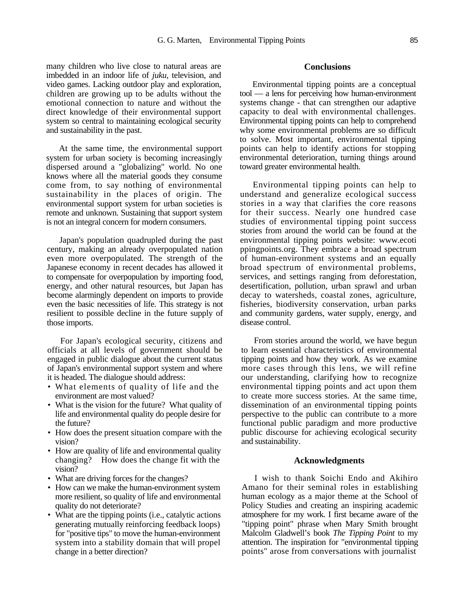many children who live close to natural areas are imbedded in an indoor life of *juku,* television, and video games. Lacking outdoor play and exploration, children are growing up to be adults without the emotional connection to nature and without the direct knowledge of their environmental support system so central to maintaining ecological security and sustainability in the past.

At the same time, the environmental support system for urban society is becoming increasingly dispersed around a "globalizing" world. No one knows where all the material goods they consume come from, to say nothing of environmental sustainability in the places of origin. The environmental support system for urban societies is remote and unknown. Sustaining that support system is not an integral concern for modern consumers.

Japan's population quadrupled during the past century, making an already overpopulated nation even more overpopulated. The strength of the Japanese economy in recent decades has allowed it to compensate for overpopulation by importing food, energy, and other natural resources, but Japan has become alarmingly dependent on imports to provide even the basic necessities of life. This strategy is not resilient to possible decline in the future supply of those imports.

For Japan's ecological security, citizens and officials at all levels of government should be engaged in public dialogue about the current status of Japan's environmental support system and where it is headed. The dialogue should address:

- What elements of quality of life and the environment are most valued?
- What is the vision for the future? What quality of life and environmental quality do people desire for the future?
- How does the present situation compare with the vision?
- How are quality of life and environmental quality changing? How does the change fit with the vision?
- What are driving forces for the changes?
- How can we make the human-environment system more resilient, so quality of life and environmental quality do not deteriorate?
- What are the tipping points (i.e., catalytic actions generating mutually reinforcing feedback loops) for "positive tips" to move the human-environment system into a stability domain that will propel change in a better direction?

#### **Conclusions**

Environmental tipping points are a conceptual tool — a lens for perceiving how human-environment systems change - that can strengthen our adaptive capacity to deal with environmental challenges. Environmental tipping points can help to comprehend why some environmental problems are so difficult to solve. Most important, environmental tipping points can help to identify actions for stopping environmental deterioration, turning things around toward greater environmental health.

Environmental tipping points can help to understand and generalize ecological success stories in a way that clarifies the core reasons for their success. Nearly one hundred case studies of environmental tipping point success stories from around the world can be found at the environmental tipping points website: www.ecoti ppingpoints.org. They embrace a broad spectrum of human-environment systems and an equally broad spectrum of environmental problems, services, and settings ranging from deforestation, desertification, pollution, urban sprawl and urban decay to watersheds, coastal zones, agriculture, fisheries, biodiversity conservation, urban parks and community gardens, water supply, energy, and disease control.

From stories around the world, we have begun to learn essential characteristics of environmental tipping points and how they work. As we examine more cases through this lens, we will refine our understanding, clarifying how to recognize environmental tipping points and act upon them to create more success stories. At the same time, dissemination of an environmental tipping points perspective to the public can contribute to a more functional public paradigm and more productive public discourse for achieving ecological security and sustainability.

#### **Acknowledgments**

I wish to thank Soichi Endo and Akihiro Amano for their seminal roles in establishing human ecology as a major theme at the School of Policy Studies and creating an inspiring academic atmosphere for my work. I first became aware of the "tipping point" phrase when Mary Smith brought Malcolm Gladwell's book *The Tipping Point* to my attention. The inspiration for "environmental tipping points" arose from conversations with journalist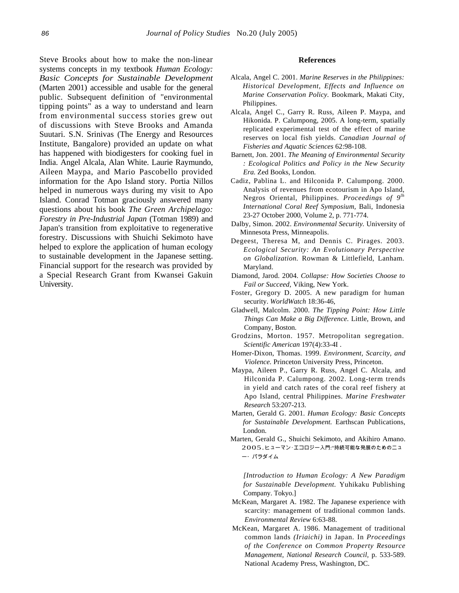Steve Brooks about how to make the non-linear systems concepts in my textbook *Human Ecology: Basic Concepts for Sustainable Development*  (Marten 2001) accessible and usable for the general public. Subsequent definition of "environmental tipping points" as a way to understand and learn from environmental success stories grew out of discussions with Steve Brooks and Amanda Suutari. S.N. Srinivas (The Energy and Resources Institute, Bangalore) provided an update on what has happened with biodigesters for cooking fuel in India. Angel Alcala, Alan White. Laurie Raymundo, Aileen Maypa, and Mario Pascobello provided information for the Apo Island story. Portia Nillos helped in numerous ways during my visit to Apo Island. Conrad Totman graciously answered many questions about his book *The Green Archipelago: Forestry in Pre-Industrial Japan* (Totman 1989) and Japan's transition from exploitative to regenerative forestry. Discussions with Shuichi Sekimoto have helped to explore the application of human ecology to sustainable development in the Japanese setting. Financial support for the research was provided by a Special Research Grant from Kwansei Gakuin University.

#### **References**

- Alcala, Angel C. 2001. *Marine Reserves in the Philippines: Historical Development, Effects and Influence on Marine Conservation Policy.* Bookmark, Makati City, Philippines.
- Alcala, Angel C., Garry R. Russ, Aileen P. Maypa, and Hikonida. P. Calumpong, 2005. A long-term, spatially replicated experimental test of the effect of marine reserves on local fish yields. *Canadian Journal of Fisheries and Aquatic Sciences* 62:98-108.
- Barnett, Jon. 2001. *The Meaning of Environmental Security : Ecological Politics and Policy in the New Security Era.* Zed Books, London.
- Cadiz, Pablina L. and Hilconida P. Calumpong. 2000. Analysis of revenues from ecotourism in Apo Island, Negros Oriental, Philippines. *Proceedings of 9lh International Coral Reef Symposium,* Bali, Indonesia 23-27 October 2000, Volume 2, p. 771-774.
- Dalby, Simon. 2002. *Environmental Security.* University of Minnesota Press, Minneapolis.
- Degeest, Theresa M, and Dennis C. Pirages. 2003. *Ecological Security: An Evolutionary Perspective on Globalization.* Rowman & Littlefield, Lanham. Maryland.
- Diamond, Jarod. 2004. *Collapse: How Societies Choose to Fail or Succeed,* Viking, New York.
- Foster, Gregory D. 2005. A new paradigm for human security. *WorldWatch* 18:36-46,
- Gladwell, Malcolm. 2000. *The Tipping Point: How Little Things Can Make a Big Difference.* Little, Brown, and Company, Boston.
- Grodzins, Morton. 1957. Metropolitan segregation. *Scientific American* 197(4):33-4I .
- Homer-Dixon, Thomas. 1999. *Environment, Scarcity, and Violence.* Princeton University Press, Princeton.
- Maypa, Aileen P., Garry R. Russ, Angel C. Alcala, and Hilconida P. Calumpong. 2002. Long-term trends in yield and catch rates of the coral reef fishery at Apo Island, central Philippines. *Marine Freshwater Research* 53:207-213.
- Marten, Gerald G. 2001. *Human Ecology: Basic Concepts for Sustainable Development.* Earthscan Publications, London.
- Marten, Gerald G., Shuichi Sekimoto, and Akihiro Amano. 2005.ヒューマン・エコロジー入門:"持続可能な発展のためのニュ ー・パラダイム

*[Introduction to Human Ecology: A New Paradigm for Sustainable Development.* Yuhikaku Publishing Company. Tokyo.]

- McKean, Margaret A. 1982. The Japanese experience with scarcity: management of traditional common lands. *Environmental Review* 6:63-88.
- McKean, Margaret A. 1986. Management of traditional common lands *(Iriaichi)* in Japan. In *Proceedings of the Conference on Common Property Resource Management, National Research Council,* p. 533-589. National Academy Press, Washington, DC.